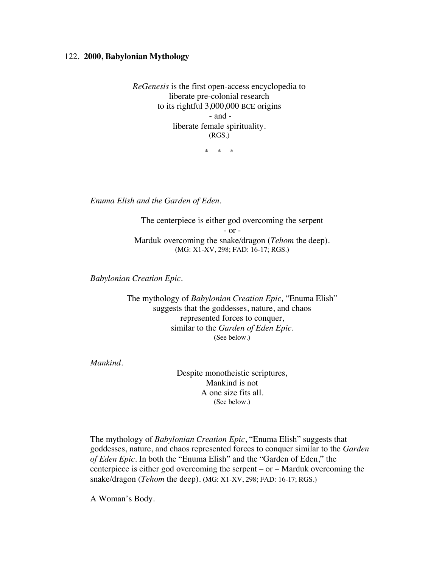## 122. **2000, Babylonian Mythology**

*ReGenesis* is the first open-access encyclopedia to liberate pre-colonial research to its rightful 3,000,000 BCE origins - and liberate female spirituality. (RGS.)

\* \* \*

*Enuma Elish and the Garden of Eden.*

The centerpiece is either god overcoming the serpent - or - Marduk overcoming the snake/dragon (*Tehom* the deep). (MG: X1-XV, 298; FAD: 16-17; RGS.)

*Babylonian Creation Epic.*

The mythology of *Babylonian Creation Epic,* "Enuma Elish" suggests that the goddesses, nature, and chaos represented forces to conquer, similar to the *Garden of Eden Epic*. (See below.)

*Mankind.*

Despite monotheistic scriptures, Mankind is not A one size fits all. (See below.)

The mythology of *Babylonian Creation Epic*, "Enuma Elish" suggests that goddesses, nature, and chaos represented forces to conquer similar to the *Garden of Eden Epic.* In both the "Enuma Elish" and the "Garden of Eden," the centerpiece is either god overcoming the serpent – or – Marduk overcoming the snake/dragon (*Tehom* the deep). (MG: X1-XV, 298; FAD: 16-17; RGS.)

A Woman's Body.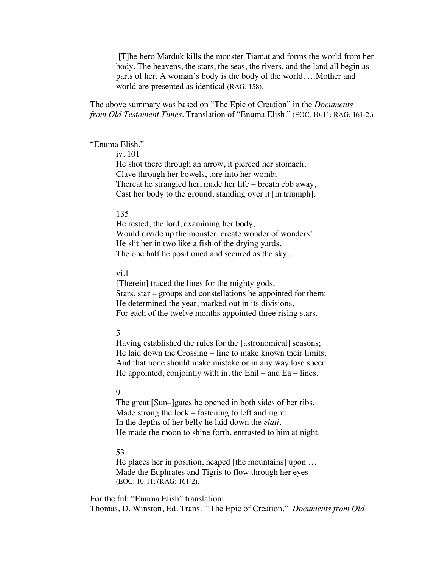[T]he hero Marduk kills the monster Tiamat and forms the world from her body. The heavens, the stars, the seas, the rivers, and the land all begin as parts of her. A woman's body is the body of the world. …Mother and world are presented as identical (RAG: 158).

The above summary was based on "The Epic of Creation" in the *Documents from Old Testament Times*. Translation of "Enuma Elish." (EOC: 10-11; RAG: 161-2.)

### "Enuma Elish."

iv. 101

He shot there through an arrow, it pierced her stomach, Clave through her bowels, tore into her womb; Thereat he strangled her, made her life – breath ebb away, Cast her body to the ground, standing over it [in triumph].

#### 135

He rested, the lord, examining her body; Would divide up the monster, create wonder of wonders! He slit her in two like a fish of the drying yards, The one half he positioned and secured as the sky …

# vi.1

[Therein] traced the lines for the mighty gods, Stars, star – groups and constellations he appointed for them: He determined the year, marked out in its divisions, For each of the twelve months appointed three rising stars.

# 5

Having established the rules for the [astronomical] seasons; He laid down the Crossing – line to make known their limits; And that none should make mistake or in any way lose speed He appointed, conjointly with in, the  $Enil - and Ea - lines$ .

## 9

The great [Sun–]gates he opened in both sides of her ribs, Made strong the lock – fastening to left and right: In the depths of her belly he laid down the *elati*. He made the moon to shine forth, entrusted to him at night.

### 53

He places her in position, heaped [the mountains] upon … Made the Euphrates and Tigris to flow through her eyes (EOC: 10-11; (RAG: 161-2).

For the full "Enuma Elish" translation: Thomas, D. Winston, Ed. Trans. "The Epic of Creation." *Documents from Old*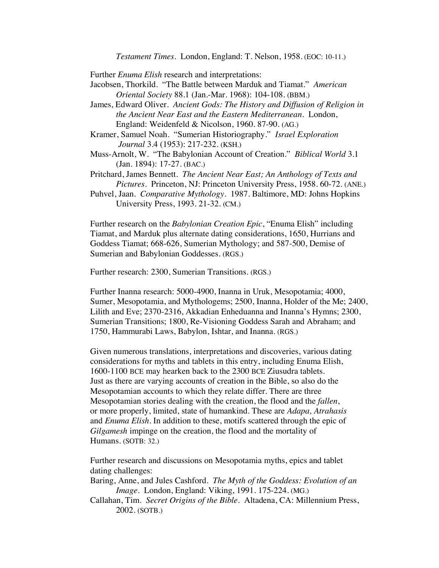*Testament Times*. London, England: T. Nelson, 1958. (EOC: 10-11.)

Further *Enuma Elish* research and interpretations:

- Jacobsen, Thorkild. "The Battle between Marduk and Tiamat." *American Oriental Society* 88.1 (Jan.-Mar. 1968): 104-108. (BBM.)
- James, Edward Oliver. *Ancient Gods: The History and Diffusion of Religion in the Ancient Near East and the Eastern Mediterranean.* London, England: Weidenfeld & Nicolson, 1960. 87-90. (AG.)
- Kramer, Samuel Noah. "Sumerian Historiography." *Israel Exploration Journal* 3.4 (1953): 217-232. (KSH.)
- Muss-Arnolt, W. "The Babylonian Account of Creation." *Biblical World* 3.1 (Jan. 1894): 17-27. (BAC.)
- Pritchard, James Bennett. *The Ancient Near East; An Anthology of Texts and Pictures*. Princeton, NJ: Princeton University Press, 1958. 60-72. (ANE.)
- Puhvel, Jaan. *Comparative Mythology*. 1987. Baltimore, MD: Johns Hopkins University Press, 1993. 21-32. (CM.)

Further research on the *Babylonian Creation Epic*, "Enuma Elish" including Tiamat, and Marduk plus alternate dating considerations, 1650, Hurrians and Goddess Tiamat; 668-626, Sumerian Mythology; and 587-500, Demise of Sumerian and Babylonian Goddesses. (RGS.)

Further research: 2300, Sumerian Transitions. (RGS.)

Further Inanna research: 5000-4900, Inanna in Uruk, Mesopotamia; 4000, Sumer, Mesopotamia, and Mythologems; 2500, Inanna, Holder of the Me; 2400, Lilith and Eve; 2370-2316, Akkadian Enheduanna and Inanna's Hymns; 2300, Sumerian Transitions; 1800, Re-Visioning Goddess Sarah and Abraham; and 1750, Hammurabi Laws, Babylon, Ishtar, and Inanna. (RGS.)

Given numerous translations, interpretations and discoveries, various dating considerations for myths and tablets in this entry, including Enuma Elish, 1600-1100 BCE may hearken back to the 2300 BCE Ziusudra tablets. Just as there are varying accounts of creation in the Bible, so also do the Mesopotamian accounts to which they relate differ. There are three Mesopotamian stories dealing with the creation, the flood and the *fallen*, or more properly, limited, state of humankind. These are *Adapa, Atrahasis* and *Enuma Elish*. In addition to these, motifs scattered through the epic of *Gilgamesh* impinge on the creation, the flood and the mortality of Humans. (SOTB: 32.)

Further research and discussions on Mesopotamia myths, epics and tablet dating challenges:

Baring, Anne, and Jules Cashford. *The Myth of the Goddess: Evolution of an Image*. London, England: Viking, 1991. 175-224. (MG.)

Callahan, Tim. *Secret Origins of the Bible.* Altadena, CA: Millennium Press, 2002. (SOTB.)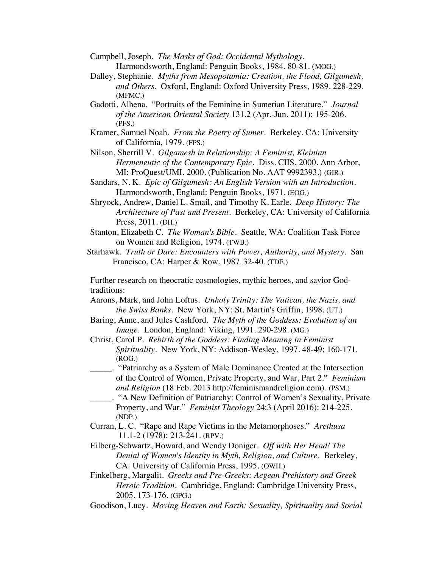Campbell, Joseph. *The Masks of God: Occidental Mythology.* Harmondsworth, England: Penguin Books, 1984. 80-81. (MOG.)

- Dalley, Stephanie. *Myths from Mesopotamia: Creation, the Flood, Gilgamesh, and Others*. Oxford, England: Oxford University Press, 1989. 228-229. (MFMC.)
- Gadotti, Alhena. "Portraits of the Feminine in Sumerian Literature." *Journal of the American Oriental Society* 131.2 (Apr.-Jun. 2011): 195-206. (PFS.)
- Kramer, Samuel Noah. *From the Poetry of Sumer*. Berkeley, CA: University of California, 1979. (FPS.)

Nilson, Sherrill V. *Gilgamesh in Relationship: A Feminist, Kleinian Hermeneutic of the Contemporary Epic.* Diss. CIIS, 2000. Ann Arbor, MI: ProQuest/UMI, 2000. (Publication No. AAT 9992393.) (GIR.)

- Sandars, N. K. *Epic of Gilgamesh: An English Version with an Introduction.* Harmondsworth, England: Penguin Books, 1971. (EOG.)
- Shryock, Andrew, Daniel L. Smail, and Timothy K. Earle. *Deep History: The Architecture of Past and Present*. Berkeley, CA: University of California Press, 2011. (DH.)
- Stanton, Elizabeth C. *The Woman's Bible*. Seattle, WA: Coalition Task Force on Women and Religion, 1974. (TWB.)
- Starhawk. *Truth or Dare: Encounters with Power, Authority, and Mystery.* San Francisco, CA: Harper & Row, 1987. 32-40. (TDE.)

Further research on theocratic cosmologies, mythic heroes, and savior Godtraditions:

- Aarons, Mark, and John Loftus. *Unholy Trinity: The Vatican, the Nazis, and the Swiss Banks*. New York, NY: St. Martin's Griffin, 1998. (UT.)
- Baring, Anne, and Jules Cashford. *The Myth of the Goddess: Evolution of an Image*. London, England: Viking, 1991. 290-298. (MG.)
- Christ, Carol P. *Rebirth of the Goddess: Finding Meaning in Feminist Spirituality*. New York, NY: Addison-Wesley, 1997. 48-49; 160-171. (ROG.)
- \_\_\_\_\_. "Patriarchy as a System of Male Dominance Created at the Intersection of the Control of Women, Private Property, and War, Part 2." *Feminism and Religion* (18 Feb. 2013 http://feminismandreligion.com). (PSM.)
- \_\_\_\_\_. "A New Definition of Patriarchy: Control of Women's Sexuality, Private Property, and War." *Feminist Theology* 24:3 (April 2016): 214-225. (NDP.)
- Curran, L. C. "Rape and Rape Victims in the Metamorphoses." *Arethusa* 11.1-2 (1978): 213-241. (RPV.)
- Eilberg-Schwartz, Howard, and Wendy Doniger. *Off with Her Head! The Denial of Women's Identity in Myth, Religion, and Culture*. Berkeley, CA: University of California Press, 1995. (OWH.)
- Finkelberg, Margalit. *Greeks and Pre-Greeks: Aegean Prehistory and Greek Heroic Tradition.* Cambridge, England: Cambridge University Press, 2005. 173-176. (GPG.)
- Goodison, Lucy. *Moving Heaven and Earth: Sexuality, Spirituality and Social*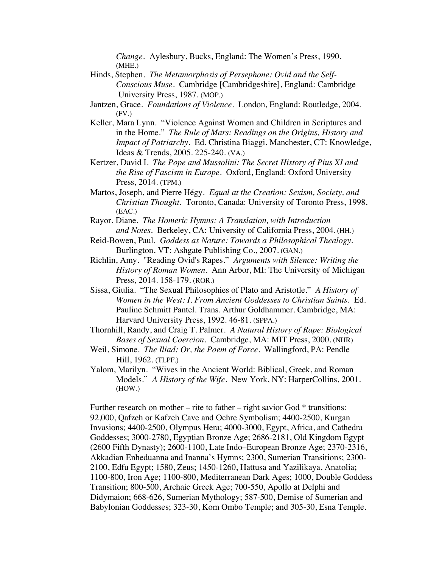*Change.* Aylesbury, Bucks, England: The Women's Press, 1990. (MHE.)

- Hinds, Stephen. *The Metamorphosis of Persephone: Ovid and the Self-Conscious Muse*. Cambridge [Cambridgeshire], England: Cambridge University Press, 1987. (MOP.)
- Jantzen, Grace. *Foundations of Violence*. London, England: Routledge, 2004.  $(FV)$
- Keller, Mara Lynn. "Violence Against Women and Children in Scriptures and in the Home." *The Rule of Mars: Readings on the Origins, History and Impact of Patriarchy.* Ed. Christina Biaggi. Manchester, CT: Knowledge, Ideas & Trends, 2005. 225-240. (VA.)
- Kertzer, David I. *The Pope and Mussolini: The Secret History of Pius XI and the Rise of Fascism in Europe.* Oxford, England: Oxford University Press, 2014. (TPM.)
- Martos, Joseph, and Pierre Hégy. *Equal at the Creation: Sexism, Society, and Christian Thought*. Toronto, Canada: University of Toronto Press, 1998. (EAC.)
- Rayor, Diane. *The Homeric Hymns: A Translation, with Introduction and Notes.* Berkeley, CA: University of California Press, 2004. (HH.)
- Reid-Bowen, Paul. *Goddess as Nature: Towards a Philosophical Thealogy.* Burlington, VT: Ashgate Publishing Co., 2007. (GAN.)
- Richlin, Amy. "Reading Ovid's Rapes." *Arguments with Silence: Writing the History of Roman Women*. Ann Arbor, MI: The University of Michigan Press, 2014. 158-179. (ROR.)
- Sissa, Giulia. "The Sexual Philosophies of Plato and Aristotle." *A History of Women in the West: I. From Ancient Goddesses to Christian Saints.* Ed. Pauline Schmitt Pantel. Trans. Arthur Goldhammer. Cambridge, MA: Harvard University Press, 1992. 46-81. (SPPA.)
- Thornhill, Randy, and Craig T. Palmer. *A Natural History of Rape: Biological Bases of Sexual Coercion*. Cambridge, MA: MIT Press, 2000. (NHR)
- Weil, Simone. *The Iliad: Or, the Poem of Force*. Wallingford, PA: Pendle Hill, 1962. (TLPF.)
- Yalom, Marilyn. "Wives in the Ancient World: Biblical, Greek, and Roman Models." *A History of the Wife*. New York, NY: HarperCollins, 2001. (HOW.)

Further research on mother – rite to father – right savior God  $*$  transitions: 92,000, Qafzeh or Kafzeh Cave and Ochre Symbolism; 4400-2500, Kurgan Invasions; 4400-2500, Olympus Hera; 4000-3000, Egypt, Africa, and Cathedra Goddesses; 3000-2780, Egyptian Bronze Age; 2686-2181, Old Kingdom Egypt (2600 Fifth Dynasty); 2600-1100, Late Indo–European Bronze Age; 2370-2316, Akkadian Enheduanna and Inanna's Hymns; 2300, Sumerian Transitions; 2300- 2100, Edfu Egypt; 1580, Zeus; 1450-1260, Hattusa and Yazilikaya, Anatolia**;** 1100-800, Iron Age; 1100-800, Mediterranean Dark Ages; 1000, Double Goddess Transition; 800-500, Archaic Greek Age; 700-550, Apollo at Delphi and Didymaion; 668-626, Sumerian Mythology; 587-500, Demise of Sumerian and Babylonian Goddesses; 323-30, Kom Ombo Temple; and 305-30, Esna Temple.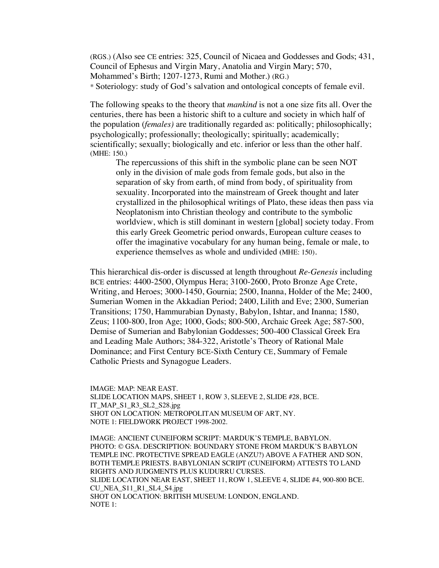(RGS.) (Also see CE entries: 325, Council of Nicaea and Goddesses and Gods; 431, Council of Ephesus and Virgin Mary, Anatolia and Virgin Mary; 570, Mohammed's Birth; 1207-1273, Rumi and Mother.) (RG.) \* Soteriology: study of God's salvation and ontological concepts of female evil.

The following speaks to the theory that *mankind* is not a one size fits all. Over the centuries, there has been a historic shift to a culture and society in which half of the population (*females)* are traditionally regarded as: politically; philosophically; psychologically; professionally; theologically; spiritually; academically; scientifically; sexually; biologically and etc. inferior or less than the other half. (MHE: 150.)

The repercussions of this shift in the symbolic plane can be seen NOT only in the division of male gods from female gods, but also in the separation of sky from earth, of mind from body, of spirituality from sexuality. Incorporated into the mainstream of Greek thought and later crystallized in the philosophical writings of Plato, these ideas then pass via Neoplatonism into Christian theology and contribute to the symbolic worldview, which is still dominant in western [global] society today. From this early Greek Geometric period onwards, European culture ceases to offer the imaginative vocabulary for any human being, female or male, to experience themselves as whole and undivided **(**MHE: 150).

This hierarchical dis-order is discussed at length throughout *Re-Genesis* including BCE entries: 4400-2500, Olympus Hera; 3100-2600, Proto Bronze Age Crete, Writing, and Heroes; 3000-1450, Gournia; 2500, Inanna, Holder of the Me; 2400, Sumerian Women in the Akkadian Period; 2400, Lilith and Eve; 2300, Sumerian Transitions; 1750, Hammurabian Dynasty, Babylon, Ishtar, and Inanna; 1580, Zeus; 1100-800, Iron Age; 1000, Gods; 800-500, Archaic Greek Age; 587-500, Demise of Sumerian and Babylonian Goddesses; 500-400 Classical Greek Era and Leading Male Authors; 384-322, Aristotle's Theory of Rational Male Dominance; and First Century BCE-Sixth Century CE, Summary of Female Catholic Priests and Synagogue Leaders.

IMAGE: MAP: NEAR EAST. SLIDE LOCATION MAPS, SHEET 1, ROW 3, SLEEVE 2, SLIDE #28, BCE. IT\_MAP\_S1\_R3\_SL2\_S28.jpg SHOT ON LOCATION: METROPOLITAN MUSEUM OF ART, NY. NOTE 1: FIELDWORK PROJECT 1998-2002.

IMAGE: ANCIENT CUNEIFORM SCRIPT: MARDUK'S TEMPLE, BABYLON. PHOTO: © GSA. DESCRIPTION: BOUNDARY STONE FROM MARDUK'S BABYLON TEMPLE INC. PROTECTIVE SPREAD EAGLE (ANZU?) ABOVE A FATHER AND SON, BOTH TEMPLE PRIESTS. BABYLONIAN SCRIPT (CUNEIFORM) ATTESTS TO LAND RIGHTS AND JUDGMENTS PLUS KUDURRU CURSES. SLIDE LOCATION NEAR EAST, SHEET 11, ROW 1, SLEEVE 4, SLIDE #4, 900-800 BCE. CU\_NEA\_S11\_R1\_SL4\_S4.jpg SHOT ON LOCATION: BRITISH MUSEUM: LONDON, ENGLAND. NOTE 1: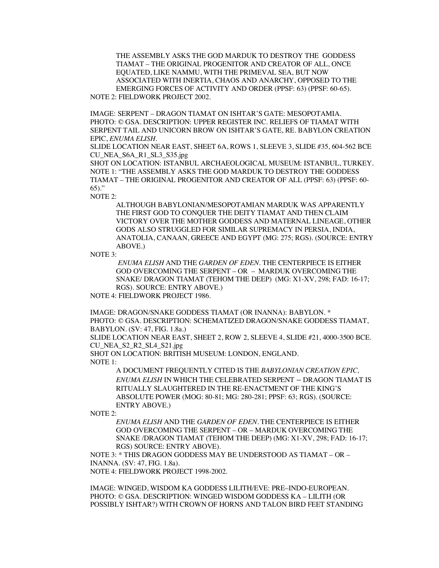THE ASSEMBLY ASKS THE GOD MARDUK TO DESTROY THE GODDESS TIAMAT – THE ORIGINAL PROGENITOR AND CREATOR OF ALL, ONCE EQUATED, LIKE NAMMU, WITH THE PRIMEVAL SEA, BUT NOW ASSOCIATED WITH INERTIA, CHAOS AND ANARCHY, OPPOSED TO THE EMERGING FORCES OF ACTIVITY AND ORDER (PPSF: 63) (PPSF: 60-65). NOTE 2: FIELDWORK PROJECT 2002.

IMAGE: SERPENT – DRAGON TIAMAT ON ISHTAR'S GATE: MESOPOTAMIA. PHOTO: © GSA. DESCRIPTION: UPPER REGISTER INC. RELIEFS OF TIAMAT WITH SERPENT TAIL AND UNICORN BROW ON ISHTAR'S GATE, RE. BABYLON CREATION EPIC, *ENUMA ELISH*.

SLIDE LOCATION NEAR EAST, SHEET 6A, ROWS 1, SLEEVE 3, SLIDE #35, 604-562 BCE CU\_NEA\_S6A\_R1\_SL3\_S35.jpg

SHOT ON LOCATION: ISTANBUL ARCHAEOLOGICAL MUSEUM: ISTANBUL, TURKEY. NOTE 1: "THE ASSEMBLY ASKS THE GOD MARDUK TO DESTROY THE GODDESS TIAMAT – THE ORIGINAL PROGENITOR AND CREATOR OF ALL (PPSF: 63) (PPSF: 60- 65)."

NOTE 2:

ALTHOUGH BABYLONIAN/MESOPOTAMIAN MARDUK WAS APPARENTLY THE FIRST GOD TO CONQUER THE DEITY TIAMAT AND THEN CLAIM VICTORY OVER THE MOTHER GODDESS AND MATERNAL LINEAGE, OTHER GODS ALSO STRUGGLED FOR SIMILAR SUPREMACY IN PERSIA, INDIA, ANATOLIA, CANAAN, GREECE AND EGYPT (MG: 275; RGS). (SOURCE: ENTRY ABOVE.)

NOTE 3:

*ENUMA ELISH* AND THE *GARDEN OF EDEN.* THE CENTERPIECE IS EITHER GOD OVERCOMING THE SERPENT – OR – MARDUK OVERCOMING THE SNAKE/ DRAGON TIAMAT (TEHOM THE DEEP) (MG: X1-XV, 298; FAD: 16-17; RGS). SOURCE: ENTRY ABOVE.)

NOTE 4: FIELDWORK PROJECT 1986.

IMAGE: DRAGON/SNAKE GODDESS TIAMAT (OR INANNA): BABYLON. \* PHOTO: © GSA. DESCRIPTION: SCHEMATIZED DRAGON/SNAKE GODDESS TIAMAT, BABYLON. (SV: 47, FIG. 1.8a.)

SLIDE LOCATION NEAR EAST, SHEET 2, ROW 2, SLEEVE 4, SLIDE #21, 4000-3500 BCE. CU\_NEA\_S2\_R2\_SL4\_S21.jpg

SHOT ON LOCATION: BRITISH MUSEUM: LONDON, ENGLAND. NOTE 1:

> A DOCUMENT FREQUENTLY CITED IS THE *BABYLONIAN CREATION EPIC, ENUMA ELISH* IN WHICH THE CELEBRATED SERPENT – DRAGON TIAMAT IS RITUALLY SLAUGHTERED IN THE RE-ENACTMENT OF THE KING'S ABSOLUTE POWER (MOG: 80-81; MG: 280-281; PPSF: 63; RGS). (SOURCE: ENTRY ABOVE.)

NOTE 2:

*ENUMA ELISH* AND THE *GARDEN OF EDEN.* THE CENTERPIECE IS EITHER GOD OVERCOMING THE SERPENT – OR – MARDUK OVERCOMING THE SNAKE /DRAGON TIAMAT (TEHOM THE DEEP) (MG: X1-XV, 298; FAD: 16-17; RGS) SOURCE: ENTRY ABOVE).

NOTE 3: \* THIS DRAGON GODDESS MAY BE UNDERSTOOD AS TIAMAT – OR – INANNA. (SV: 47, FIG. 1.8a).

NOTE 4: FIELDWORK PROJECT 1998-2002.

IMAGE: WINGED, WISDOM KA GODDESS LILITH/EVE: PRE–INDO-EUROPEAN. PHOTO: © GSA. DESCRIPTION: WINGED WISDOM GODDESS KA – LILITH (OR POSSIBLY ISHTAR?) WITH CROWN OF HORNS AND TALON BIRD FEET STANDING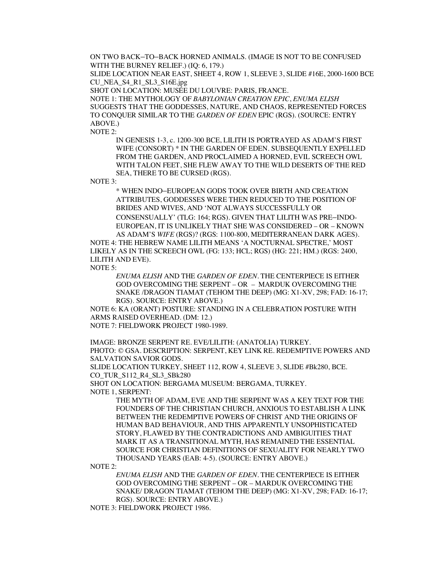ON TWO BACK–TO–BACK HORNED ANIMALS. (IMAGE IS NOT TO BE CONFUSED WITH THE BURNEY RELIEF.) (IQ: 6, 179.)

SLIDE LOCATION NEAR EAST, SHEET 4, ROW 1, SLEEVE 3, SLIDE #16E, 2000-1600 BCE CU\_NEA\_S4\_R1\_SL3\_S16E.jpg

SHOT ON LOCATION: MUSÉE DU LOUVRE: PARIS, FRANCE.

NOTE 1: THE MYTHOLOGY OF *BABYLONIAN CREATION EPIC*, *ENUMA ELISH* SUGGESTS THAT THE GODDESSES, NATURE, AND CHAOS, REPRESENTED FORCES TO CONQUER SIMILAR TO THE *GARDEN OF EDEN* EPIC (RGS). (SOURCE: ENTRY ABOVE.)

NOTE 2:

IN GENESIS 1-3, c. 1200-300 BCE, LILITH IS PORTRAYED AS ADAM'S FIRST WIFE (CONSORT) \* IN THE GARDEN OF EDEN. SUBSEQUENTLY EXPELLED FROM THE GARDEN, AND PROCLAIMED A HORNED, EVIL SCREECH OWL WITH TALON FEET, SHE FLEW AWAY TO THE WILD DESERTS OF THE RED SEA, THERE TO BE CURSED (RGS).

NOTE 3:

\* WHEN INDO–EUROPEAN GODS TOOK OVER BIRTH AND CREATION ATTRIBUTES, GODDESSES WERE THEN REDUCED TO THE POSITION OF BRIDES AND WIVES, AND 'NOT ALWAYS SUCCESSFULLY OR CONSENSUALLY' (TLG: 164; RGS). GIVEN THAT LILITH WAS PRE–INDO-EUROPEAN, IT IS UNLIKELY THAT SHE WAS CONSIDERED – OR – KNOWN AS ADAM'S *WIFE* (RGS)? (RGS: 1100-800, MEDITERRANEAN DARK AGES).

NOTE 4: THE HEBREW NAME LILITH MEANS 'A NOCTURNAL SPECTRE,' MOST LIKELY AS IN THE SCREECH OWL (FG: 133; HCL; RGS) (HG: 221; HM.) (RGS: 2400, LILITH AND EVE).

NOTE 5:

*ENUMA ELISH* AND THE *GARDEN OF EDEN.* THE CENTERPIECE IS EITHER GOD OVERCOMING THE SERPENT – OR – MARDUK OVERCOMING THE SNAKE /DRAGON TIAMAT (TEHOM THE DEEP) (MG: X1-XV, 298; FAD: 16-17; RGS). SOURCE: ENTRY ABOVE.)

NOTE 6: KA (ORANT) POSTURE: STANDING IN A CELEBRATION POSTURE WITH ARMS RAISED OVERHEAD. (DM: 12.)

NOTE 7: FIELDWORK PROJECT 1980-1989.

IMAGE: BRONZE SERPENT RE. EVE/LILITH: (ANATOLIA) TURKEY. PHOTO: © GSA. DESCRIPTION: SERPENT, KEY LINK RE. REDEMPTIVE POWERS AND SALVATION SAVIOR GODS.

SLIDE LOCATION TURKEY, SHEET 112, ROW 4, SLEEVE 3, SLIDE #Bk280, BCE. CO\_TUR\_S112\_R4\_SL3\_SBk280

SHOT ON LOCATION: BERGAMA MUSEUM: BERGAMA, TURKEY. NOTE 1, SERPENT:

THE MYTH OF ADAM, EVE AND THE SERPENT WAS A KEY TEXT FOR THE FOUNDERS OF THE CHRISTIAN CHURCH, ANXIOUS TO ESTABLISH A LINK BETWEEN THE REDEMPTIVE POWERS OF CHRIST AND THE ORIGINS OF HUMAN BAD BEHAVIOUR, AND THIS APPARENTLY UNSOPHISTICATED STORY, FLAWED BY THE CONTRADICTIONS AND AMBIGUITIES THAT MARK IT AS A TRANSITIONAL MYTH, HAS REMAINED THE ESSENTIAL SOURCE FOR CHRISTIAN DEFINITIONS OF SEXUALITY FOR NEARLY TWO THOUSAND YEARS (EAB: 4-5). (SOURCE: ENTRY ABOVE.)

NOTE 2:

*ENUMA ELISH* AND THE *GARDEN OF EDEN.* THE CENTERPIECE IS EITHER GOD OVERCOMING THE SERPENT – OR – MARDUK OVERCOMING THE SNAKE/ DRAGON TIAMAT (TEHOM THE DEEP) (MG: X1-XV, 298; FAD: 16-17; RGS). SOURCE: ENTRY ABOVE.)

NOTE 3: FIELDWORK PROJECT 1986.